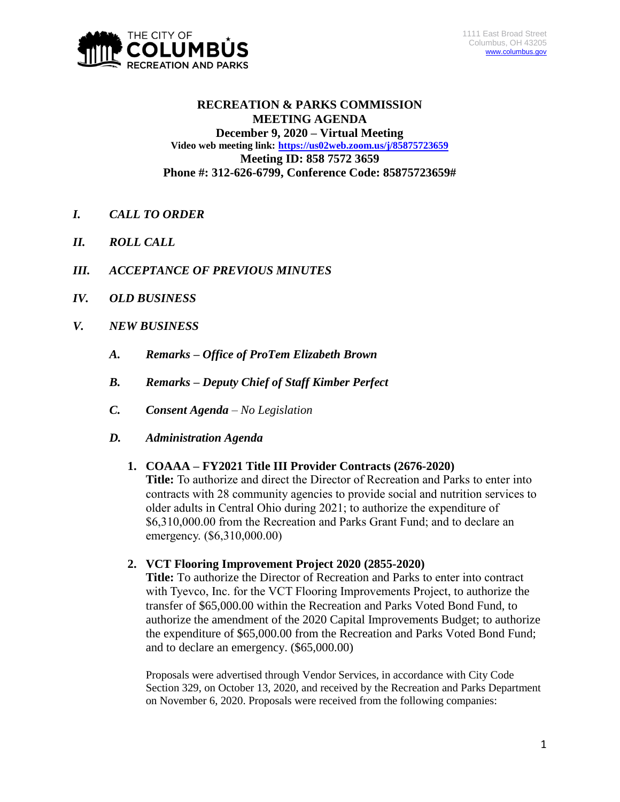

## **RECREATION & PARKS COMMISSION MEETING AGENDA December 9, 2020 – Virtual Meeting Video web meeting link: <https://us02web.zoom.us/j/85875723659> Meeting ID: 858 7572 3659 Phone #: 312-626-6799, Conference Code: 85875723659#**

- *I. CALL TO ORDER*
- *II. ROLL CALL*
- *III. ACCEPTANCE OF PREVIOUS MINUTES*
- *IV. OLD BUSINESS*
- *V. NEW BUSINESS*
	- *A. Remarks – Office of ProTem Elizabeth Brown*
	- *B. Remarks – Deputy Chief of Staff Kimber Perfect*
	- *C. Consent Agenda – No Legislation*
	- *D. Administration Agenda*

## **1. COAAA – FY2021 Title III Provider Contracts (2676-2020)**

**Title:** To authorize and direct the Director of Recreation and Parks to enter into contracts with 28 community agencies to provide social and nutrition services to older adults in Central Ohio during 2021; to authorize the expenditure of \$6,310,000.00 from the Recreation and Parks Grant Fund; and to declare an emergency. (\$6,310,000.00)

**2. VCT Flooring Improvement Project 2020 (2855-2020)**

**Title:** To authorize the Director of Recreation and Parks to enter into contract with Tyevco, Inc. for the VCT Flooring Improvements Project, to authorize the transfer of \$65,000.00 within the Recreation and Parks Voted Bond Fund, to authorize the amendment of the 2020 Capital Improvements Budget; to authorize the expenditure of \$65,000.00 from the Recreation and Parks Voted Bond Fund; and to declare an emergency. (\$65,000.00)

Proposals were advertised through Vendor Services, in accordance with City Code Section 329, on October 13, 2020, and received by the Recreation and Parks Department on November 6, 2020. Proposals were received from the following companies: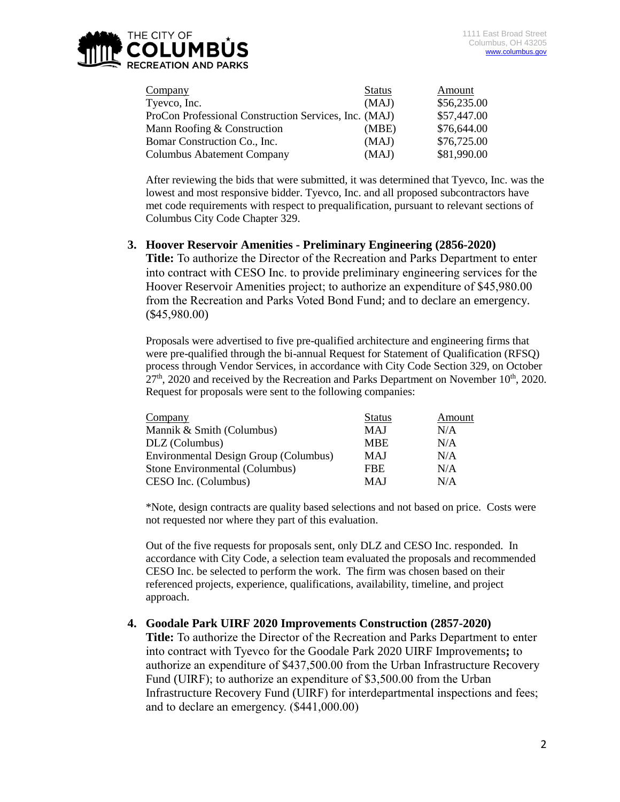

| Company                                               | <b>Status</b> | Amount      |
|-------------------------------------------------------|---------------|-------------|
| Tyevco, Inc.                                          | (MAJ)         | \$56,235.00 |
| ProCon Professional Construction Services, Inc. (MAJ) |               | \$57,447.00 |
| Mann Roofing & Construction                           | (MBE)         | \$76,644.00 |
| Bomar Construction Co., Inc.                          | (MAJ)         | \$76,725.00 |
| <b>Columbus Abatement Company</b>                     | (MAJ)         | \$81,990.00 |

After reviewing the bids that were submitted, it was determined that Tyevco, Inc. was the lowest and most responsive bidder. Tyevco, Inc. and all proposed subcontractors have met code requirements with respect to prequalification, pursuant to relevant sections of Columbus City Code Chapter 329.

#### **3. Hoover Reservoir Amenities - Preliminary Engineering (2856-2020)**

**Title:** To authorize the Director of the Recreation and Parks Department to enter into contract with CESO Inc. to provide preliminary engineering services for the Hoover Reservoir Amenities project; to authorize an expenditure of \$45,980.00 from the Recreation and Parks Voted Bond Fund; and to declare an emergency. (\$45,980.00)

Proposals were advertised to five pre-qualified architecture and engineering firms that were pre-qualified through the bi-annual Request for Statement of Qualification (RFSQ) process through Vendor Services, in accordance with City Code Section 329, on October  $27<sup>th</sup>$ , 2020 and received by the Recreation and Parks Department on November 10<sup>th</sup>, 2020. Request for proposals were sent to the following companies:

| Company                               | <b>Status</b> | Amount |
|---------------------------------------|---------------|--------|
| Mannik & Smith (Columbus)             | <b>MAJ</b>    | N/A    |
| DLZ (Columbus)                        | <b>MBE</b>    | N/A    |
| Environmental Design Group (Columbus) | <b>MAJ</b>    | N/A    |
| Stone Environmental (Columbus)        | <b>FBE</b>    | N/A    |
| CESO Inc. (Columbus)                  | <b>MAJ</b>    | N/A    |

\*Note, design contracts are quality based selections and not based on price. Costs were not requested nor where they part of this evaluation.

Out of the five requests for proposals sent, only DLZ and CESO Inc. responded. In accordance with City Code, a selection team evaluated the proposals and recommended CESO Inc. be selected to perform the work. The firm was chosen based on their referenced projects, experience, qualifications, availability, timeline, and project approach.

## **4. Goodale Park UIRF 2020 Improvements Construction (2857-2020)**

**Title:** To authorize the Director of the Recreation and Parks Department to enter into contract with Tyevco for the Goodale Park 2020 UIRF Improvements**;** to authorize an expenditure of \$437,500.00 from the Urban Infrastructure Recovery Fund (UIRF); to authorize an expenditure of \$3,500.00 from the Urban Infrastructure Recovery Fund (UIRF) for interdepartmental inspections and fees; and to declare an emergency. (\$441,000.00)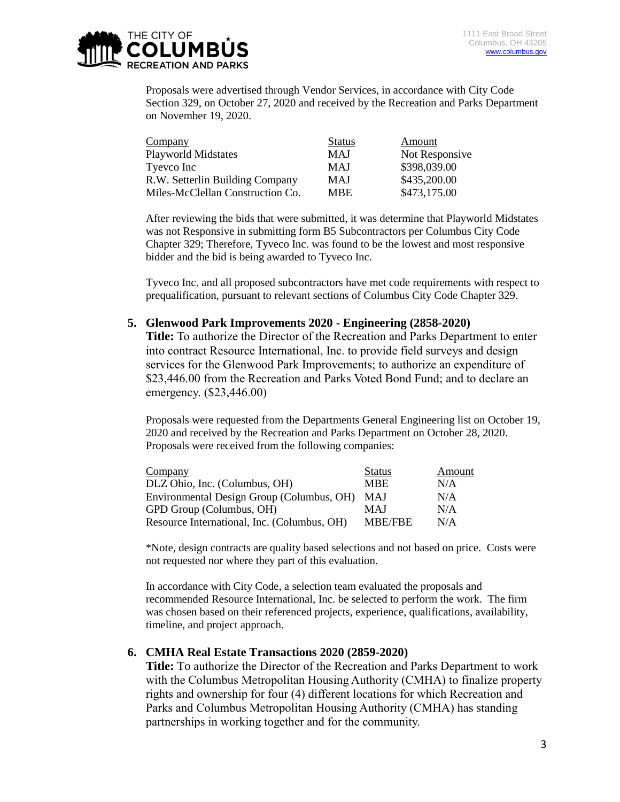

Proposals were advertised through Vendor Services, in accordance with City Code Section 329, on October 27, 2020 and received by the Recreation and Parks Department on November 19, 2020.

| Company                          | <b>Status</b> | Amount         |
|----------------------------------|---------------|----------------|
| <b>Playworld Midstates</b>       | <b>MAJ</b>    | Not Responsive |
| Tyevco Inc                       | <b>MAJ</b>    | \$398,039.00   |
| R.W. Setterlin Building Company  | <b>MAJ</b>    | \$435,200.00   |
| Miles-McClellan Construction Co. | <b>MBE</b>    | \$473,175.00   |

After reviewing the bids that were submitted, it was determine that Playworld Midstates was not Responsive in submitting form B5 Subcontractors per Columbus City Code Chapter 329; Therefore, Tyveco Inc. was found to be the lowest and most responsive bidder and the bid is being awarded to Tyveco Inc.

Tyveco Inc. and all proposed subcontractors have met code requirements with respect to prequalification, pursuant to relevant sections of Columbus City Code Chapter 329.

#### **5. Glenwood Park Improvements 2020 - Engineering (2858-2020)**

**Title:** To authorize the Director of the Recreation and Parks Department to enter into contract Resource International, Inc. to provide field surveys and design services for the Glenwood Park Improvements; to authorize an expenditure of \$23,446.00 from the Recreation and Parks Voted Bond Fund; and to declare an emergency. (\$23,446.00)

Proposals were requested from the Departments General Engineering list on October 19, 2020 and received by the Recreation and Parks Department on October 28, 2020. Proposals were received from the following companies:

| Company                                     | <b>Status</b>  | Amount |
|---------------------------------------------|----------------|--------|
| DLZ Ohio, Inc. (Columbus, OH)               | <b>MBE</b>     | N/A    |
| Environmental Design Group (Columbus, OH)   | <b>MAJ</b>     | N/A    |
| GPD Group (Columbus, OH)                    | <b>MAJ</b>     | N/A    |
| Resource International, Inc. (Columbus, OH) | <b>MBE/FBE</b> | N/A    |

\*Note, design contracts are quality based selections and not based on price. Costs were not requested nor where they part of this evaluation.

In accordance with City Code, a selection team evaluated the proposals and recommended Resource International, Inc. be selected to perform the work. The firm was chosen based on their referenced projects, experience, qualifications, availability, timeline, and project approach.

## **6. CMHA Real Estate Transactions 2020 (2859-2020)**

**Title:** To authorize the Director of the Recreation and Parks Department to work with the Columbus Metropolitan Housing Authority (CMHA) to finalize property rights and ownership for four (4) different locations for which Recreation and Parks and Columbus Metropolitan Housing Authority (CMHA) has standing partnerships in working together and for the community.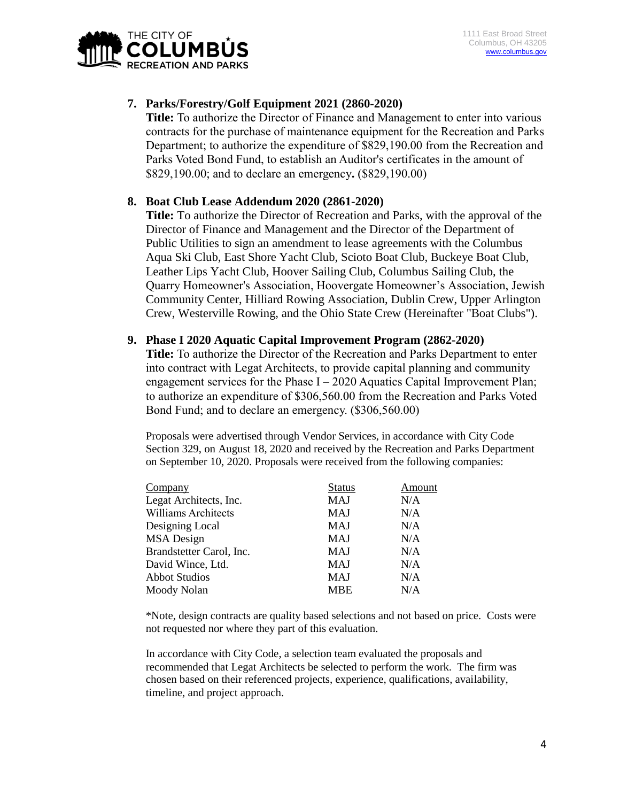

# **7. Parks/Forestry/Golf Equipment 2021 (2860-2020)**

**Title:** To authorize the Director of Finance and Management to enter into various contracts for the purchase of maintenance equipment for the Recreation and Parks Department; to authorize the expenditure of \$829,190.00 from the Recreation and Parks Voted Bond Fund, to establish an Auditor's certificates in the amount of \$829,190.00; and to declare an emergency**.** (\$829,190.00)

## **8. Boat Club Lease Addendum 2020 (2861-2020)**

**Title:** To authorize the Director of Recreation and Parks, with the approval of the Director of Finance and Management and the Director of the Department of Public Utilities to sign an amendment to lease agreements with the Columbus Aqua Ski Club, East Shore Yacht Club, Scioto Boat Club, Buckeye Boat Club, Leather Lips Yacht Club, Hoover Sailing Club, Columbus Sailing Club, the Quarry Homeowner's Association, Hoovergate Homeowner's Association, Jewish Community Center, Hilliard Rowing Association, Dublin Crew, Upper Arlington Crew, Westerville Rowing, and the Ohio State Crew (Hereinafter "Boat Clubs").

#### **9. Phase I 2020 Aquatic Capital Improvement Program (2862-2020)**

**Title:** To authorize the Director of the Recreation and Parks Department to enter into contract with Legat Architects, to provide capital planning and community engagement services for the Phase  $I - 2020$  Aquatics Capital Improvement Plan; to authorize an expenditure of \$306,560.00 from the Recreation and Parks Voted Bond Fund; and to declare an emergency. (\$306,560.00)

Proposals were advertised through Vendor Services, in accordance with City Code Section 329, on August 18, 2020 and received by the Recreation and Parks Department on September 10, 2020. Proposals were received from the following companies:

| Company                    | <b>Status</b> | Amount |
|----------------------------|---------------|--------|
| Legat Architects, Inc.     | MAJ           | N/A    |
| <b>Williams Architects</b> | <b>MAJ</b>    | N/A    |
| Designing Local            | <b>MAJ</b>    | N/A    |
| <b>MSA</b> Design          | <b>MAJ</b>    | N/A    |
| Brandstetter Carol, Inc.   | <b>MAJ</b>    | N/A    |
| David Wince, Ltd.          | <b>MAJ</b>    | N/A    |
| <b>Abbot Studios</b>       | <b>MAJ</b>    | N/A    |
| Moody Nolan                | <b>MBE</b>    | N/A    |
|                            |               |        |

\*Note, design contracts are quality based selections and not based on price. Costs were not requested nor where they part of this evaluation.

In accordance with City Code, a selection team evaluated the proposals and recommended that Legat Architects be selected to perform the work. The firm was chosen based on their referenced projects, experience, qualifications, availability, timeline, and project approach.